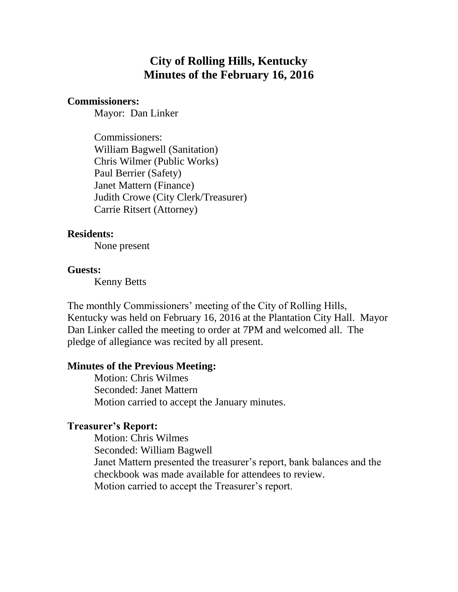# **City of Rolling Hills, Kentucky Minutes of the February 16, 2016**

#### **Commissioners:**

Mayor: Dan Linker

Commissioners: William Bagwell (Sanitation) Chris Wilmer (Public Works) Paul Berrier (Safety) Janet Mattern (Finance) Judith Crowe (City Clerk/Treasurer) Carrie Ritsert (Attorney)

#### **Residents:**

None present

#### **Guests:**

Kenny Betts

The monthly Commissioners' meeting of the City of Rolling Hills, Kentucky was held on February 16, 2016 at the Plantation City Hall. Mayor Dan Linker called the meeting to order at 7PM and welcomed all. The pledge of allegiance was recited by all present.

#### **Minutes of the Previous Meeting:**

Motion: Chris Wilmes Seconded: Janet Mattern Motion carried to accept the January minutes.

#### **Treasurer's Report:**

Motion: Chris Wilmes Seconded: William Bagwell Janet Mattern presented the treasurer's report, bank balances and the checkbook was made available for attendees to review. Motion carried to accept the Treasurer's report.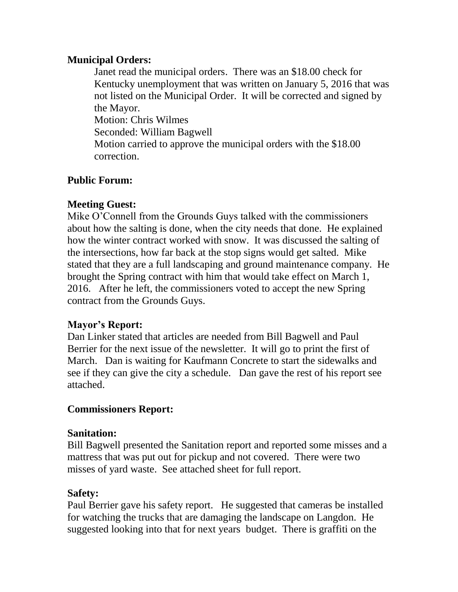### **Municipal Orders:**

Janet read the municipal orders. There was an \$18.00 check for Kentucky unemployment that was written on January 5, 2016 that was not listed on the Municipal Order. It will be corrected and signed by the Mayor. Motion: Chris Wilmes Seconded: William Bagwell Motion carried to approve the municipal orders with the \$18.00 correction.

# **Public Forum:**

## **Meeting Guest:**

Mike O'Connell from the Grounds Guys talked with the commissioners about how the salting is done, when the city needs that done. He explained how the winter contract worked with snow. It was discussed the salting of the intersections, how far back at the stop signs would get salted. Mike stated that they are a full landscaping and ground maintenance company. He brought the Spring contract with him that would take effect on March 1, 2016. After he left, the commissioners voted to accept the new Spring contract from the Grounds Guys.

## **Mayor's Report:**

Dan Linker stated that articles are needed from Bill Bagwell and Paul Berrier for the next issue of the newsletter. It will go to print the first of March. Dan is waiting for Kaufmann Concrete to start the sidewalks and see if they can give the city a schedule. Dan gave the rest of his report see attached.

## **Commissioners Report:**

### **Sanitation:**

Bill Bagwell presented the Sanitation report and reported some misses and a mattress that was put out for pickup and not covered. There were two misses of yard waste. See attached sheet for full report.

### **Safety:**

Paul Berrier gave his safety report. He suggested that cameras be installed for watching the trucks that are damaging the landscape on Langdon. He suggested looking into that for next years budget. There is graffiti on the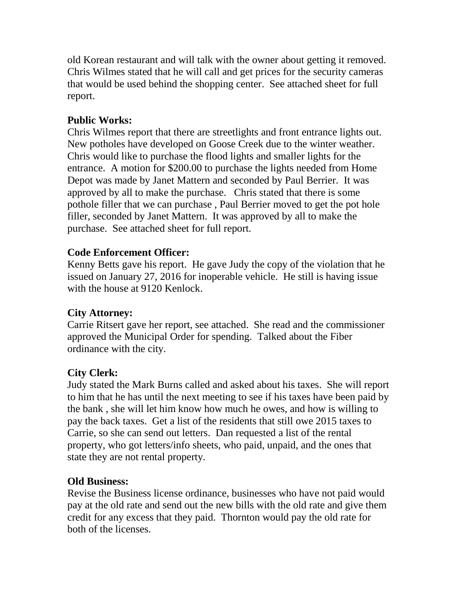old Korean restaurant and will talk with the owner about getting it removed. Chris Wilmes stated that he will call and get prices for the security cameras that would be used behind the shopping center. See attached sheet for full report.

# **Public Works:**

Chris Wilmes report that there are streetlights and front entrance lights out. New potholes have developed on Goose Creek due to the winter weather. Chris would like to purchase the flood lights and smaller lights for the entrance. A motion for \$200.00 to purchase the lights needed from Home Depot was made by Janet Mattern and seconded by Paul Berrier. It was approved by all to make the purchase. Chris stated that there is some pothole filler that we can purchase , Paul Berrier moved to get the pot hole filler, seconded by Janet Mattern. It was approved by all to make the purchase. See attached sheet for full report.

# **Code Enforcement Officer:**

Kenny Betts gave his report. He gave Judy the copy of the violation that he issued on January 27, 2016 for inoperable vehicle. He still is having issue with the house at 9120 Kenlock.

# **City Attorney:**

Carrie Ritsert gave her report, see attached. She read and the commissioner approved the Municipal Order for spending. Talked about the Fiber ordinance with the city.

# **City Clerk:**

Judy stated the Mark Burns called and asked about his taxes. She will report to him that he has until the next meeting to see if his taxes have been paid by the bank , she will let him know how much he owes, and how is willing to pay the back taxes. Get a list of the residents that still owe 2015 taxes to Carrie, so she can send out letters. Dan requested a list of the rental property, who got letters/info sheets, who paid, unpaid, and the ones that state they are not rental property.

## **Old Business:**

Revise the Business license ordinance, businesses who have not paid would pay at the old rate and send out the new bills with the old rate and give them credit for any excess that they paid. Thornton would pay the old rate for both of the licenses.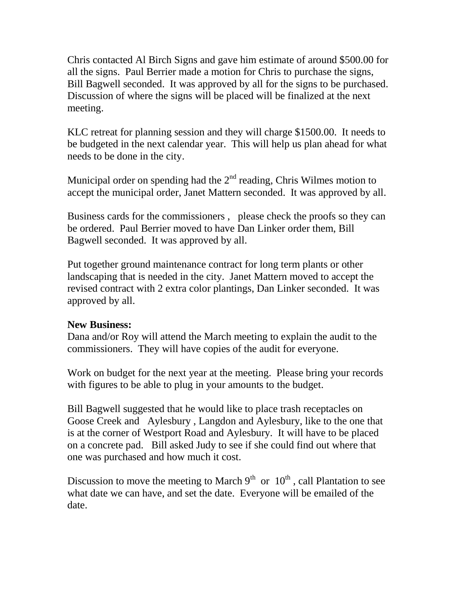Chris contacted Al Birch Signs and gave him estimate of around \$500.00 for all the signs. Paul Berrier made a motion for Chris to purchase the signs, Bill Bagwell seconded. It was approved by all for the signs to be purchased. Discussion of where the signs will be placed will be finalized at the next meeting.

KLC retreat for planning session and they will charge \$1500.00. It needs to be budgeted in the next calendar year. This will help us plan ahead for what needs to be done in the city.

Municipal order on spending had the  $2<sup>nd</sup>$  reading, Chris Wilmes motion to accept the municipal order, Janet Mattern seconded. It was approved by all.

Business cards for the commissioners , please check the proofs so they can be ordered. Paul Berrier moved to have Dan Linker order them, Bill Bagwell seconded. It was approved by all.

Put together ground maintenance contract for long term plants or other landscaping that is needed in the city. Janet Mattern moved to accept the revised contract with 2 extra color plantings, Dan Linker seconded. It was approved by all.

### **New Business:**

Dana and/or Roy will attend the March meeting to explain the audit to the commissioners. They will have copies of the audit for everyone.

Work on budget for the next year at the meeting. Please bring your records with figures to be able to plug in your amounts to the budget.

Bill Bagwell suggested that he would like to place trash receptacles on Goose Creek and Aylesbury , Langdon and Aylesbury, like to the one that is at the corner of Westport Road and Aylesbury. It will have to be placed on a concrete pad. Bill asked Judy to see if she could find out where that one was purchased and how much it cost.

Discussion to move the meeting to March  $9<sup>th</sup>$  or  $10<sup>th</sup>$ , call Plantation to see what date we can have, and set the date. Everyone will be emailed of the date.